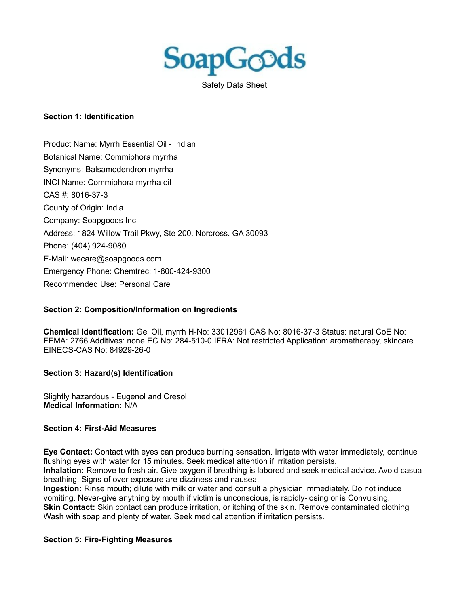

Safety Data Sheet

#### **Section 1: Identification**

Product Name: Myrrh Essential Oil - Indian Botanical Name: Commiphora myrrha Synonyms: Balsamodendron myrrha INCI Name: Commiphora myrrha oil CAS #: 8016-37-3 County of Origin: India Company: Soapgoods Inc Address: 1824 Willow Trail Pkwy, Ste 200. Norcross. GA 30093 Phone: (404) 924-9080 E-Mail: wecare@soapgoods.com Emergency Phone: Chemtrec: 1-800-424-9300 Recommended Use: Personal Care

### **Section 2: Composition/Information on Ingredients**

**Chemical Identification:** Gel Oil, myrrh H-No: 33012961 CAS No: 8016-37-3 Status: natural CoE No: FEMA: 2766 Additives: none EC No: 284-510-0 IFRA: Not restricted Application: aromatherapy, skincare EINECS-CAS No: 84929-26-0

### **Section 3: Hazard(s) Identification**

Slightly hazardous - Eugenol and Cresol **Medical Information:** N/A

### **Section 4: First-Aid Measures**

**Eye Contact:** Contact with eyes can produce burning sensation. Irrigate with water immediately, continue flushing eyes with water for 15 minutes. Seek medical attention if irritation persists.

**Inhalation:** Remove to fresh air. Give oxygen if breathing is labored and seek medical advice. Avoid casual breathing. Signs of over exposure are dizziness and nausea.

**Ingestion:** Rinse mouth; dilute with milk or water and consult a physician immediately. Do not induce vomiting. Never-give anything by mouth if victim is unconscious, is rapidly-losing or is Convulsing. **Skin Contact:** Skin contact can produce irritation, or itching of the skin. Remove contaminated clothing Wash with soap and plenty of water. Seek medical attention if irritation persists.

#### **Section 5: Fire-Fighting Measures**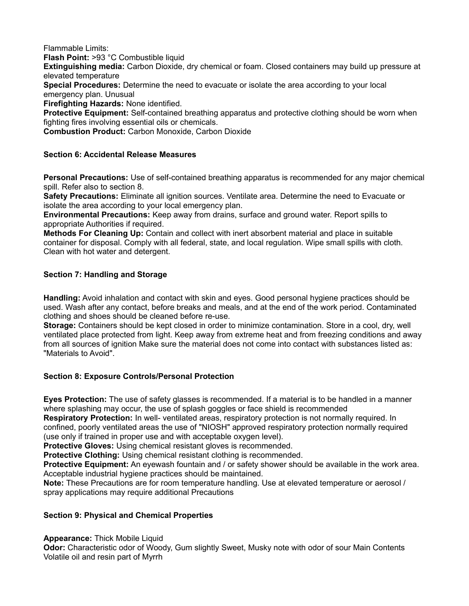Flammable Limits:

**Flash Point:** >93 °C Combustible liquid

**Extinguishing media:** Carbon Dioxide, dry chemical or foam. Closed containers may build up pressure at elevated temperature

**Special Procedures:** Determine the need to evacuate or isolate the area according to your local emergency plan. Unusual

**Firefighting Hazards:** None identified.

**Protective Equipment:** Self-contained breathing apparatus and protective clothing should be worn when fighting fires involving essential oils or chemicals.

**Combustion Product:** Carbon Monoxide, Carbon Dioxide

### **Section 6: Accidental Release Measures**

**Personal Precautions:** Use of self-contained breathing apparatus is recommended for any major chemical spill. Refer also to section 8.

**Safety Precautions:** Eliminate all ignition sources. Ventilate area. Determine the need to Evacuate or isolate the area according to your local emergency plan.

**Environmental Precautions:** Keep away from drains, surface and ground water. Report spills to appropriate Authorities if required.

**Methods For Cleaning Up:** Contain and collect with inert absorbent material and place in suitable container for disposal. Comply with all federal, state, and local regulation. Wipe small spills with cloth. Clean with hot water and detergent.

# **Section 7: Handling and Storage**

**Handling:** Avoid inhalation and contact with skin and eyes. Good personal hygiene practices should be used. Wash after any contact, before breaks and meals, and at the end of the work period. Contaminated clothing and shoes should be cleaned before re-use.

**Storage:** Containers should be kept closed in order to minimize contamination. Store in a cool, dry, well ventilated place protected from light. Keep away from extreme heat and from freezing conditions and away from all sources of ignition Make sure the material does not come into contact with substances listed as: "Materials to Avoid".

# **Section 8: Exposure Controls/Personal Protection**

**Eyes Protection:** The use of safety glasses is recommended. If a material is to be handled in a manner where splashing may occur, the use of splash goggles or face shield is recommended

**Respiratory Protection:** In well- ventilated areas, respiratory protection is not normally required. In confined, poorly ventilated areas the use of "NIOSH" approved respiratory protection normally required (use only if trained in proper use and with acceptable oxygen level).

**Protective Gloves:** Using chemical resistant gloves is recommended.

**Protective Clothing:** Using chemical resistant clothing is recommended.

**Protective Equipment:** An eyewash fountain and / or safety shower should be available in the work area. Acceptable industrial hygiene practices should be maintained.

**Note:** These Precautions are for room temperature handling. Use at elevated temperature or aerosol / spray applications may require additional Precautions

### **Section 9: Physical and Chemical Properties**

**Appearance:** Thick Mobile Liquid

**Odor:** Characteristic odor of Woody, Gum slightly Sweet, Musky note with odor of sour Main Contents Volatile oil and resin part of Myrrh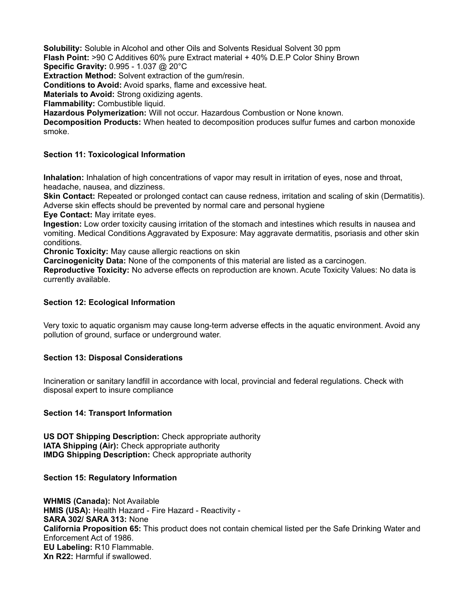**Solubility:** Soluble in Alcohol and other Oils and Solvents Residual Solvent 30 ppm **Flash Point:** >90 C Additives 60% pure Extract material + 40% D.E.P Color Shiny Brown

**Specific Gravity:** 0.995 - 1.037 @ 20°C

**Extraction Method:** Solvent extraction of the gum/resin.

**Conditions to Avoid:** Avoid sparks, flame and excessive heat.

**Materials to Avoid:** Strong oxidizing agents.

**Flammability:** Combustible liquid.

**Hazardous Polymerization:** Will not occur. Hazardous Combustion or None known.

**Decomposition Products:** When heated to decomposition produces sulfur fumes and carbon monoxide smoke.

## **Section 11: Toxicological Information**

**Inhalation:** Inhalation of high concentrations of vapor may result in irritation of eyes, nose and throat, headache, nausea, and dizziness.

**Skin Contact:** Repeated or prolonged contact can cause redness, irritation and scaling of skin (Dermatitis). Adverse skin effects should be prevented by normal care and personal hygiene

**Eye Contact:** May irritate eyes.

**Ingestion:** Low order toxicity causing irritation of the stomach and intestines which results in nausea and vomiting. Medical Conditions Aggravated by Exposure: May aggravate dermatitis, psoriasis and other skin conditions.

**Chronic Toxicity:** May cause allergic reactions on skin

**Carcinogenicity Data:** None of the components of this material are listed as a carcinogen.

**Reproductive Toxicity:** No adverse effects on reproduction are known. Acute Toxicity Values: No data is currently available.

## **Section 12: Ecological Information**

Very toxic to aquatic organism may cause long-term adverse effects in the aquatic environment. Avoid any pollution of ground, surface or underground water.

# **Section 13: Disposal Considerations**

Incineration or sanitary landfill in accordance with local, provincial and federal regulations. Check with disposal expert to insure compliance

### **Section 14: Transport Information**

**US DOT Shipping Description:** Check appropriate authority **IATA Shipping (Air):** Check appropriate authority **IMDG Shipping Description:** Check appropriate authority

### **Section 15: Regulatory Information**

**WHMIS (Canada):** Not Available **HMIS (USA):** Health Hazard - Fire Hazard - Reactivity - **SARA 302/ SARA 313:** None **California Proposition 65:** This product does not contain chemical listed per the Safe Drinking Water and Enforcement Act of 1986. **EU Labeling:** R10 Flammable. **Xn R22:** Harmful if swallowed.